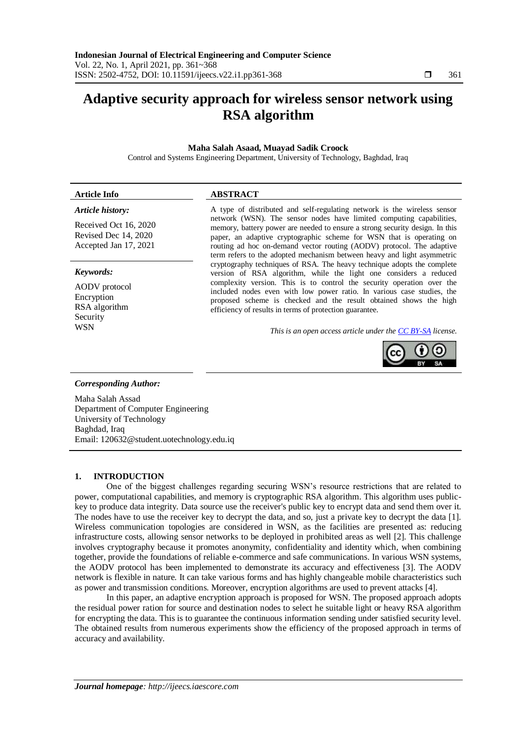# **Adaptive security approach for wireless sensor network using RSA algorithm**

### **Maha Salah Asaad, Muayad Sadik Croock**

Control and Systems Engineering Department, University of Technology, Baghdad, Iraq

# **Article Info ABSTRACT**

# *Article history:*

Received Oct 16, 2020 Revised Dec 14, 2020 Accepted Jan 17, 2021

### *Keywords:*

AODV protocol Encryption RSA algorithm Security

A type of distributed and self-regulating network is the wireless sensor network (WSN). The sensor nodes have limited computing capabilities, memory, battery power are needed to ensure a strong security design. In this paper, an adaptive cryptographic scheme for WSN that is operating on routing ad hoc on-demand vector routing (AODV) protocol. The adaptive term refers to the adopted mechanism between heavy and light asymmetric cryptography techniques of RSA. The heavy technique adopts the complete version of RSA algorithm, while the light one considers a reduced complexity version. This is to control the security operation over the included nodes even with low power ratio. In various case studies, the proposed scheme is checked and the result obtained shows the high efficiency of results in terms of protection guarantee.

WSN *This is an open access article under the [CC BY-SA](https://creativecommons.org/licenses/by-sa/4.0/) license.*



# *Corresponding Author:*

Maha Salah Assad Department of Computer Engineering University of Technology Baghdad, Iraq Email: [120632@student.uotechnology.edu.iq](mailto:120632@student.uotechnology.edu.iq)

# **1. INTRODUCTION**

One of the biggest challenges regarding securing WSN's resource restrictions that are related to power, computational capabilities, and memory is cryptographic RSA algorithm. This algorithm uses publickey to produce data integrity. Data source use the receiver's public key to encrypt data and send them over it. The nodes have to use the receiver key to decrypt the data, and so, just a private key to decrypt the data [1]. Wireless communication topologies are considered in WSN, as the facilities are presented as: reducing infrastructure costs, allowing sensor networks to be deployed in prohibited areas as well [2]. This challenge involves cryptography because it promotes anonymity, confidentiality and identity which, when combining together, provide the foundations of reliable e-commerce and safe communications. In various WSN systems, the AODV protocol has been implemented to demonstrate its accuracy and effectiveness [3]. The AODV network is flexible in nature. It can take various forms and has highly changeable mobile characteristics such as power and transmission conditions. Moreover, encryption algorithms are used to prevent attacks [4].

In this paper, an adaptive encryption approach is proposed for WSN. The proposed approach adopts the residual power ration for source and destination nodes to select he suitable light or heavy RSA algorithm for encrypting the data. This is to guarantee the continuous information sending under satisfied security level. The obtained results from numerous experiments show the efficiency of the proposed approach in terms of accuracy and availability.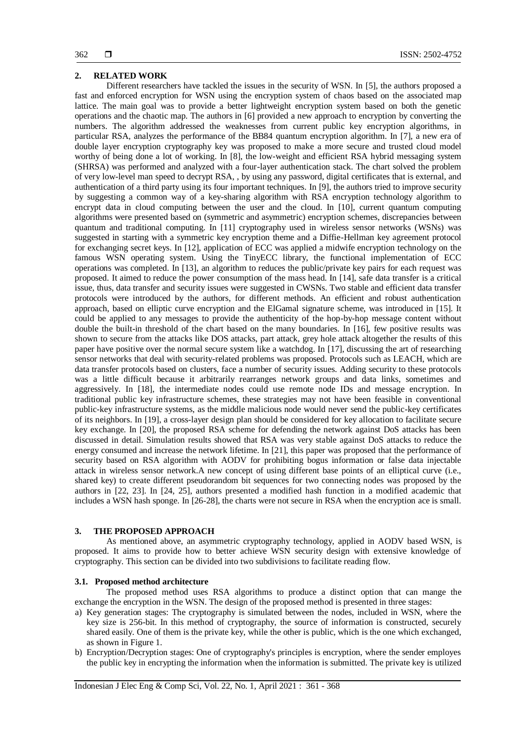#### **2. RELATED WORK**

Different researchers have tackled the issues in the security of WSN. In [5], the authors proposed a fast and enforced encryption for WSN using the encryption system of chaos based on the associated map lattice. The main goal was to provide a better lightweight encryption system based on both the genetic operations and the chaotic map. The authors in [6] provided a new approach to encryption by converting the numbers. The algorithm addressed the weaknesses from current public key encryption algorithms, in particular RSA, analyzes the performance of the BB84 quantum encryption algorithm. In [7], a new era of double layer encryption cryptography key was proposed to make a more secure and trusted cloud model worthy of being done a lot of working. In [8], the low-weight and efficient RSA hybrid messaging system (SHRSA) was performed and analyzed with a four-layer authentication stack. The chart solved the problem of very low-level man speed to decrypt RSA, , by using any password, digital certificates that is external, and authentication of a third party using its four important techniques. In [9], the authors tried to improve security by suggesting a common way of a key-sharing algorithm with RSA encryption technology algorithm to encrypt data in cloud computing between the user and the cloud. In [10], current quantum computing algorithms were presented based on (symmetric and asymmetric) encryption schemes, discrepancies between quantum and traditional computing. In [11] cryptography used in wireless sensor networks (WSNs) was suggested in starting with a symmetric key encryption theme and a Diffie-Hellman key agreement protocol for exchanging secret keys. In [12], application of ECC was applied a midwife encryption technology on the famous WSN operating system. Using the TinyECC library, the functional implementation of ECC operations was completed. In [13], an algorithm to reduces the public/private key pairs for each request was proposed. It aimed to reduce the power consumption of the mass head. In [14], safe data transfer is a critical issue, thus, data transfer and security issues were suggested in CWSNs. Two stable and efficient data transfer protocols were introduced by the authors, for different methods. An efficient and robust authentication approach, based on elliptic curve encryption and the ElGamal signature scheme, was introduced in [15]. It could be applied to any messages to provide the authenticity of the hop-by-hop message content without double the built-in threshold of the chart based on the many boundaries. In [16], few positive results was shown to secure from the attacks like DOS attacks, part attack, grey hole attack altogether the results of this paper have positive over the normal secure system like a watchdog. In [17], discussing the art of researching sensor networks that deal with security-related problems was proposed. Protocols such as LEACH, which are data transfer protocols based on clusters, face a number of security issues. Adding security to these protocols was a little difficult because it arbitrarily rearranges network groups and data links, sometimes and aggressively. In [18], the intermediate nodes could use remote node IDs and message encryption. In traditional public key infrastructure schemes, these strategies may not have been feasible in conventional public-key infrastructure systems, as the middle malicious node would never send the public-key certificates of its neighbors. In [19], a cross-layer design plan should be considered for key allocation to facilitate secure key exchange. In [20], the proposed RSA scheme for defending the network against DoS attacks has been discussed in detail. Simulation results showed that RSA was very stable against DoS attacks to reduce the energy consumed and increase the network lifetime. In [21], this paper was proposed that the performance of security based on RSA algorithm with AODV for prohibiting bogus information or false data injectable attack in wireless sensor network.A new concept of using different base points of an elliptical curve (i.e., shared key) to create different pseudorandom bit sequences for two connecting nodes was proposed by the authors in [22, 23]. In [24, 25], authors presented a modified hash function in a modified academic that includes a WSN hash sponge. In [26-28], the charts were not secure in RSA when the encryption ace is small.

#### **3. THE PROPOSED APPROACH**

As mentioned above, an asymmetric cryptography technology, applied in AODV based WSN, is proposed. It aims to provide how to better achieve WSN security design with extensive knowledge of cryptography. This section can be divided into two subdivisions to facilitate reading flow.

#### **3.1. Proposed method architecture**

The proposed method uses RSA algorithms to produce a distinct option that can mange the exchange the encryption in the WSN. The design of the proposed method is presented in three stages:

- a) Key generation stages: The cryptography is simulated between the nodes, included in WSN, where the key size is 256-bit. In this method of cryptography, the source of information is constructed, securely shared easily. One of them is the private key, while the other is public, which is the one which exchanged, as shown in Figure 1.
- b) Encryption/Decryption stages: One of cryptography's principles is encryption, where the sender employes the public key in encrypting the information when the information is submitted. The private key is utilized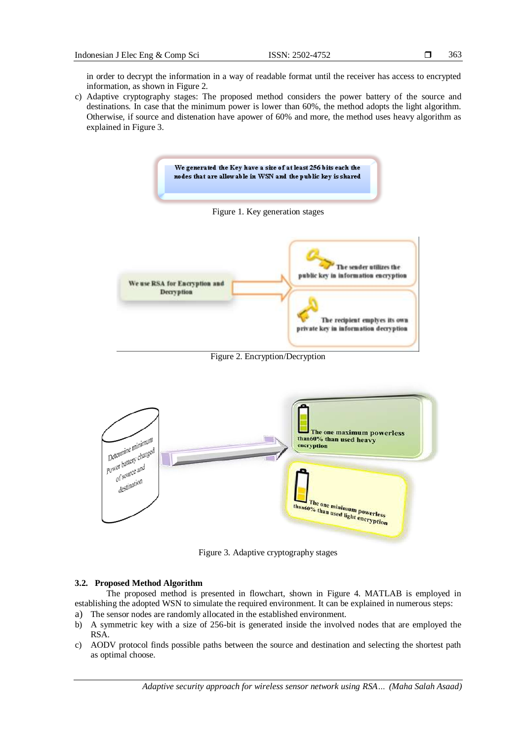in order to decrypt the information in a way of readable format until the receiver has access to encrypted information, as shown in Figure 2.

c) Adaptive cryptography stages: The proposed method considers the power battery of the source and destinations. In case that the minimum power is lower than 60%, the method adopts the light algorithm. Otherwise, if source and distenation have apower of 60% and more, the method uses heavy algorithm as explained in Figure 3.



Figure 3. Adaptive cryptography stages

#### **3.2. Proposed Method Algorithm**

The proposed method is presented in flowchart, shown in Figure 4. MATLAB is employed in establishing the adopted WSN to simulate the required environment. It can be explained in numerous steps:

- a) The sensor nodes are randomly allocated in the established environment.
- b) A symmetric key with a size of 256-bit is generated inside the involved nodes that are employed the RSA.
- c) AODV protocol finds possible paths between the source and destination and selecting the shortest path as optimal choose.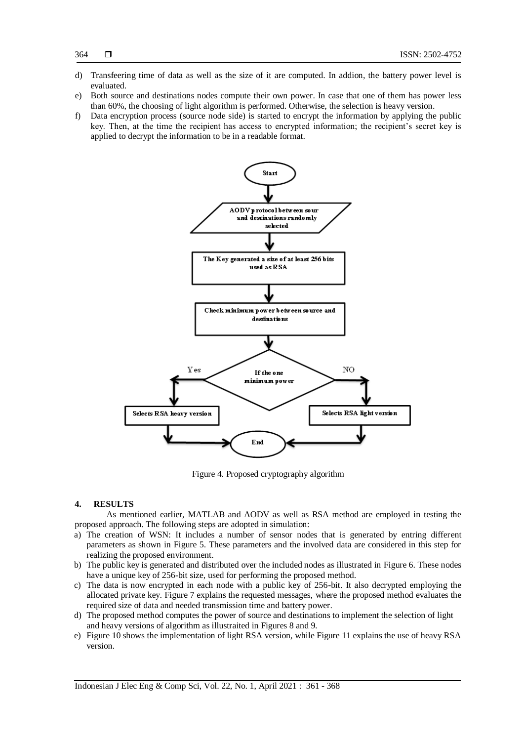- d) Transfeering time of data as well as the size of it are computed. In addion, the battery power level is evaluated.
- e) Both source and destinations nodes compute their own power. In case that one of them has power less than 60%, the choosing of light algorithm is performed. Otherwise, the selection is heavy version.
- f) Data encryption process (source node side) is started to encrypt the information by applying the public key. Then, at the time the recipient has access to encrypted information; the recipient's secret key is applied to decrypt the information to be in a readable format.



Figure 4. Proposed cryptography algorithm

# **4. RESULTS**

As mentioned earlier, MATLAB and AODV as well as RSA method are employed in testing the proposed approach. The following steps are adopted in simulation:

- a) The creation of WSN: It includes a number of sensor nodes that is generated by entring different parameters as shown in Figure 5. These parameters and the involved data are considered in this step for realizing the proposed environment.
- b) The public key is generated and distributed over the included nodes as illustrated in Figure 6. These nodes have a unique key of 256-bit size, used for performing the proposed method.
- c) The data is now encrypted in each node with a public key of 256-bit. It also decrypted employing the allocated private key. Figure 7 explains the requested messages, where the proposed method evaluates the required size of data and needed transmission time and battery power.
- d) The proposed method computes the power of source and destinations to implement the selection of light and heavy versions of algorithm as illustraited in Figures 8 and 9.
- e) Figure 10 shows the implementation of light RSA version, while Figure 11 explains the use of heavy RSA version.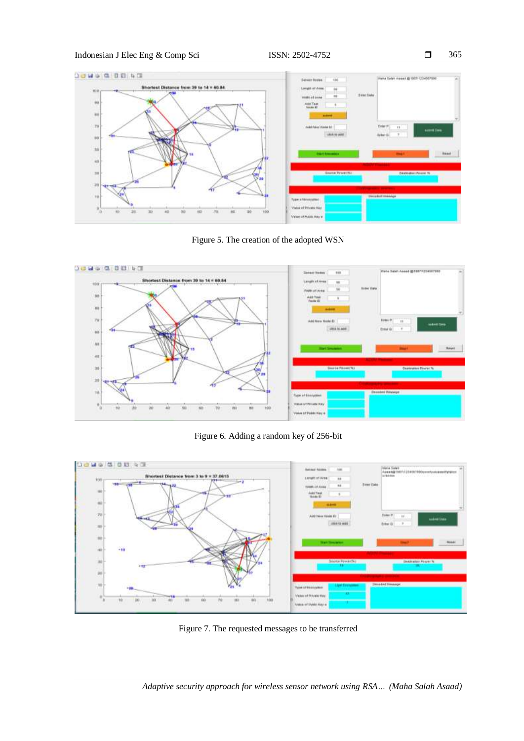

Figure 5. The creation of the adopted WSN



Figure 6. Adding a random key of 256-bit



Figure 7. The requested messages to be transferred

365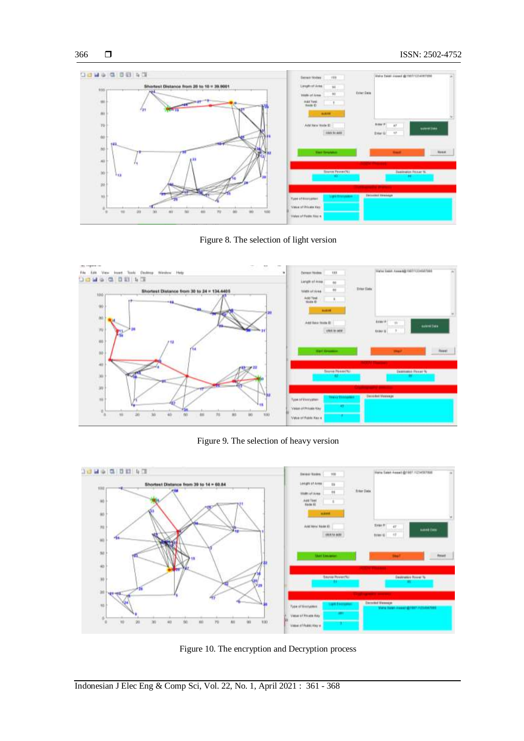

Figure 8. The selection of light version



Figure 9. The selection of heavy version



Figure 10. The encryption and Decryption process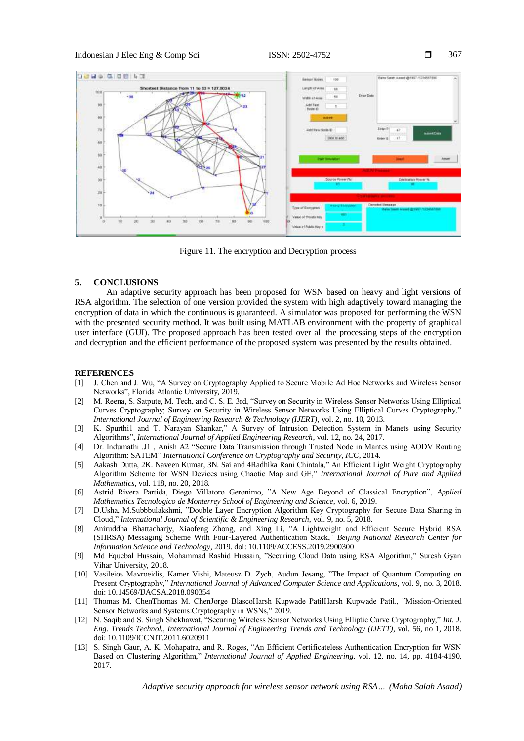367



Figure 11. The encryption and Decryption process

#### **5. CONCLUSIONS**

An adaptive security approach has been proposed for WSN based on heavy and light versions of RSA algorithm. The selection of one version provided the system with high adaptively toward managing the encryption of data in which the continuous is guaranteed. A simulator was proposed for performing the WSN with the presented security method. It was built using MATLAB environment with the property of graphical user interface (GUI). The proposed approach has been tested over all the processing steps of the encryption and decryption and the efficient performance of the proposed system was presented by the results obtained.

# **REFERENCES**

- [1] J. Chen and J. Wu, "A Survey on Cryptography Applied to Secure Mobile Ad Hoc Networks and Wireless Sensor Networks", Florida Atlantic University, 2019.
- [2] M. Reena, S. Satpute, M. Tech, and C. S. E. 3rd, "Survey on Security in Wireless Sensor Networks Using Elliptical Curves Cryptography; Survey on Security in Wireless Sensor Networks Using Elliptical Curves Cryptography," *International Journal of Engineering Research & Technology (IJERT)*, vol. 2, no. 10, 2013.
- [3] K. Spurthi1 and T. Narayan Shankar," A Survey of Intrusion Detection System in Manets using Security Algorithms", *International Journal of Applied Engineering Research*, vol. 12, no. 24, 2017.
- [4] Dr. Indumathi .J1 , Anish A2 "Secure Data Transmission through Trusted Node in Mantes using AODV Routing Algorithm: SATEM" *International Conference on Cryptography and Security, ICC*, 2014.
- [5] Aakash Dutta, 2K. Naveen Kumar, 3N. Sai and 4Radhika Rani Chintala," An Efficient Light Weight Cryptography Algorithm Scheme for WSN Devices using Chaotic Map and GE," *International Journal of Pure and Applied Mathematics*, vol. 118, no. 20, 2018.
- [6] Astrid Rivera Partida, Diego Villatoro Geronimo, "A New Age Beyond of Classical Encryption", *Applied Mathematics Tecnologico de Monterrey School of Engineering and Science*, vol. 6, 2019.
- [7] D.Usha, M.Subbbulakshmi, "Double Layer Encryption Algorithm Key Cryptography for Secure Data Sharing in Cloud," *International Journal of Scientific & Engineering Research*, vol. 9, no. 5, 2018.
- [8] Aniruddha Bhattacharjy, Xiaofeng Zhong, and Xing Li, "A Lightweight and Efficient Secure Hybrid RSA (SHRSA) Messaging Scheme With Four-Layered Authentication Stack," *Beijing National Research Center for Information Science and Technology*, 2019. doi: 10.1109/ACCESS.2019.2900300
- [9] Md Equebal Hussain, Mohammad Rashid Hussain, "Securing Cloud Data using RSA Algorithm," Suresh Gyan Vihar University, 2018.
- [10] Vasileios Mavroeidis, Kamer Vishi, Mateusz D. Zych, Audun Jøsang, "The Impact of Quantum Computing on Present Cryptography," *International Journal of Advanced Computer Science and Applications*, vol. 9, no. 3, 2018. doi[: 10.14569/IJACSA.2018.090354](https://arxiv.org/ct?url=https://dx.doi.org/10.14569/IJACSA.2018.090354&v=1a80bacf)
- [11] Thomas M. ChenThomas M. ChenJorge BlascoHarsh Kupwade PatilHarsh Kupwade Patil., "Mission-Oriented Sensor Networks and Systems:Cryptography in WSNs," 2019.
- [12] N. Saqib and S. Singh Shekhawat, "Securing Wireless Sensor Networks Using Elliptic Curve Cryptography," *Int. J. Eng. Trends Technol., International Journal of Engineering Trends and Technology (IJETT)*, vol. 56, no 1, 2018. doi: 10.1109/ICCNIT.2011.6020911
- [13] S. Singh Gaur, A. K. Mohapatra, and R. Roges, "An Efficient Certificateless Authentication Encryption for WSN Based on Clustering Algorithm," *International Journal of Applied Engineering*, vol. 12, no. 14, pp. 4184-4190, 2017.